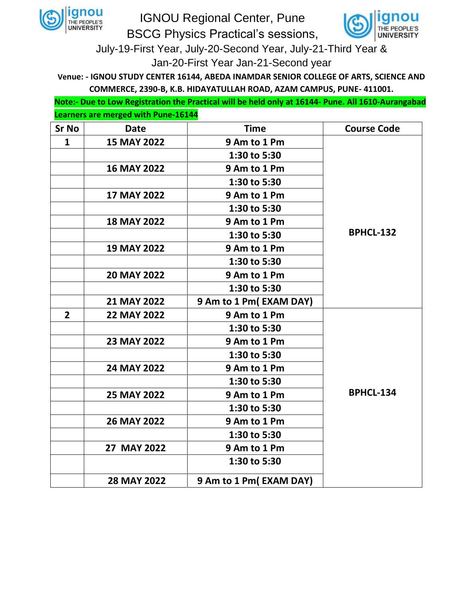

IGNOU Regional Center, Pune BSCG Physics Practical's sessions, INIVERSITY

July-19-First Year, July-20-Second Year, July-21-Third Year & Jan-20-First Year Jan-21-Second year

**Venue: - IGNOU STUDY CENTER 16144, ABEDA INAMDAR SENIOR COLLEGE OF ARTS, SCIENCE AND COMMERCE, 2390-B, K.B. HIDAYATULLAH ROAD, AZAM CAMPUS, PUNE- 411001.**

**Note:- Due to Low Registration the Practical will be held only at 16144- Pune. All 1610-Aurangabad Learners are merged with Pune-16144**

| <b>Sr No</b>   | <b>Date</b>        | <b>Time</b>            | <b>Course Code</b> |
|----------------|--------------------|------------------------|--------------------|
| $\mathbf{1}$   | <b>15 MAY 2022</b> | 9 Am to 1 Pm           |                    |
|                |                    | 1:30 to 5:30           |                    |
|                | <b>16 MAY 2022</b> | 9 Am to 1 Pm           |                    |
|                |                    | 1:30 to 5:30           |                    |
|                | <b>17 MAY 2022</b> | 9 Am to 1 Pm           |                    |
|                |                    | 1:30 to 5:30           |                    |
|                | <b>18 MAY 2022</b> | 9 Am to 1 Pm           |                    |
|                |                    | 1:30 to 5:30           | <b>BPHCL-132</b>   |
|                | <b>19 MAY 2022</b> | 9 Am to 1 Pm           |                    |
|                |                    | 1:30 to 5:30           |                    |
|                | <b>20 MAY 2022</b> | 9 Am to 1 Pm           |                    |
|                |                    | 1:30 to 5:30           |                    |
|                | 21 MAY 2022        | 9 Am to 1 Pm(EXAM DAY) |                    |
| $\overline{2}$ | <b>22 MAY 2022</b> | 9 Am to 1 Pm           |                    |
|                |                    | 1:30 to 5:30           |                    |
|                | <b>23 MAY 2022</b> | 9 Am to 1 Pm           |                    |
|                |                    | 1:30 to 5:30           |                    |
|                | 24 MAY 2022        | 9 Am to 1 Pm           |                    |
|                |                    | 1:30 to 5:30           |                    |
|                | 25 MAY 2022        | 9 Am to 1 Pm           | BPHCL-134          |
|                |                    | 1:30 to 5:30           |                    |
|                | <b>26 MAY 2022</b> | 9 Am to 1 Pm           |                    |
|                |                    | 1:30 to 5:30           |                    |
|                | 27 MAY 2022        | 9 Am to 1 Pm           |                    |
|                |                    | 1:30 to 5:30           |                    |
|                | <b>28 MAY 2022</b> | 9 Am to 1 Pm(EXAM DAY) |                    |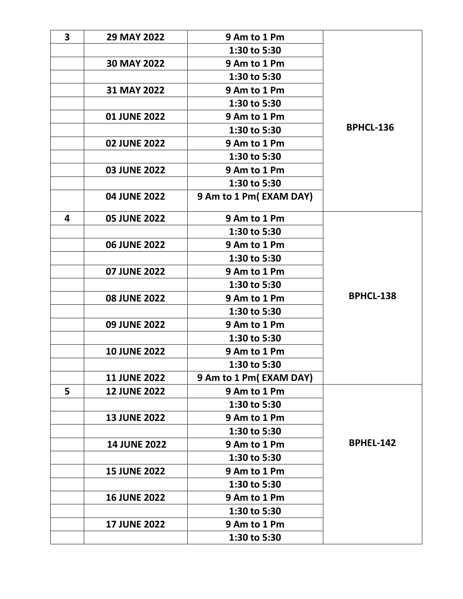| $\overline{\mathbf{3}}$ | 29 MAY 2022         | 9 Am to 1 Pm           |                  |
|-------------------------|---------------------|------------------------|------------------|
|                         |                     | 1:30 to 5:30           |                  |
|                         | 30 MAY 2022         | 9 Am to 1 Pm           |                  |
|                         |                     | 1:30 to 5:30           |                  |
|                         | 31 MAY 2022         | 9 Am to 1 Pm           |                  |
|                         |                     | 1:30 to 5:30           |                  |
|                         | <b>01 JUNE 2022</b> | 9 Am to 1 Pm           |                  |
|                         |                     | 1:30 to 5:30           | <b>BPHCL-136</b> |
|                         | <b>02 JUNE 2022</b> | 9 Am to 1 Pm           |                  |
|                         |                     | 1:30 to 5:30           |                  |
|                         | <b>03 JUNE 2022</b> | 9 Am to 1 Pm           |                  |
|                         |                     | 1:30 to 5:30           |                  |
|                         | 04 JUNE 2022        | 9 Am to 1 Pm(EXAM DAY) |                  |
| 4                       | <b>05 JUNE 2022</b> | 9 Am to 1 Pm           |                  |
|                         |                     | 1:30 to 5:30           |                  |
|                         | <b>06 JUNE 2022</b> | 9 Am to 1 Pm           |                  |
|                         |                     | 1:30 to 5:30           |                  |
|                         | <b>07 JUNE 2022</b> | 9 Am to 1 Pm           |                  |
|                         |                     | 1:30 to 5:30           |                  |
|                         | <b>08 JUNE 2022</b> | 9 Am to 1 Pm           | <b>BPHCL-138</b> |
|                         |                     | 1:30 to 5:30           |                  |
|                         | <b>09 JUNE 2022</b> | 9 Am to 1 Pm           |                  |
|                         |                     | 1:30 to 5:30           |                  |
|                         | <b>10 JUNE 2022</b> | 9 Am to 1 Pm           |                  |
|                         |                     | 1:30 to 5:30           |                  |
|                         | <b>11 JUNE 2022</b> | 9 Am to 1 Pm(EXAM DAY) |                  |
| 5                       | <b>12 JUNE 2022</b> | 9 Am to 1 Pm           |                  |
|                         |                     | 1:30 to 5:30           |                  |
|                         | <b>13 JUNE 2022</b> | 9 Am to 1 Pm           |                  |
|                         |                     | 1:30 to 5:30           |                  |
|                         | <b>14 JUNE 2022</b> | 9 Am to 1 Pm           | <b>BPHEL-142</b> |
|                         |                     | 1:30 to 5:30           |                  |
|                         | <b>15 JUNE 2022</b> | 9 Am to 1 Pm           |                  |
|                         |                     | 1:30 to 5:30           |                  |
|                         | <b>16 JUNE 2022</b> | 9 Am to 1 Pm           |                  |
|                         |                     | 1:30 to 5:30           |                  |
|                         | <b>17 JUNE 2022</b> | 9 Am to 1 Pm           |                  |
|                         |                     | 1:30 to 5:30           |                  |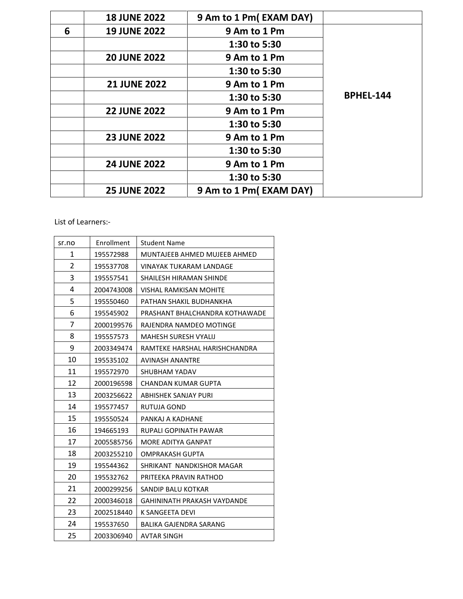|   | <b>18 JUNE 2022</b> | 9 Am to 1 Pm(EXAM DAY) |                  |
|---|---------------------|------------------------|------------------|
| 6 | <b>19 JUNE 2022</b> | 9 Am to 1 Pm           |                  |
|   |                     | 1:30 to 5:30           |                  |
|   | <b>20 JUNE 2022</b> | 9 Am to 1 Pm           |                  |
|   |                     | 1:30 to 5:30           |                  |
|   | <b>21 JUNE 2022</b> | 9 Am to 1 Pm           |                  |
|   |                     | 1:30 to 5:30           | <b>BPHEL-144</b> |
|   | <b>22 JUNE 2022</b> | 9 Am to 1 Pm           |                  |
|   |                     | 1:30 to 5:30           |                  |
|   | <b>23 JUNE 2022</b> | 9 Am to 1 Pm           |                  |
|   |                     | 1:30 to 5:30           |                  |
|   | <b>24 JUNE 2022</b> | 9 Am to 1 Pm           |                  |
|   |                     | 1:30 to 5:30           |                  |
|   | <b>25 JUNE 2022</b> | 9 Am to 1 Pm(EXAM DAY) |                  |

List of Learners:-

| Enrollment | <b>Student Name</b>            |
|------------|--------------------------------|
| 195572988  | MUNTAJEEB AHMED MUJEEB AHMED   |
| 195537708  | <b>VINAYAK TUKARAM LANDAGE</b> |
| 195557541  | SHAILESH HIRAMAN SHINDE        |
| 2004743008 | VISHAL RAMKISAN MOHITE         |
| 195550460  | PATHAN SHAKIL BUDHANKHA        |
| 195545902  | PRASHANT BHALCHANDRA KOTHAWADE |
| 2000199576 | RAJENDRA NAMDEO MOTINGE        |
| 195557573  | MAHESH SURESH VYALIJ           |
| 2003349474 | RAMTEKE HARSHAL HARISHCHANDRA  |
| 195535102  | AVINASH ANANTRE                |
| 195572970  | SHUBHAM YADAV                  |
| 2000196598 | CHANDAN KUMAR GUPTA            |
| 2003256622 | ABHISHEK SANJAY PURI           |
| 195577457  | RUTUJA GOND                    |
| 195550524  | PANKAJ A KADHANE               |
| 194665193  | RUPALI GOPINATH PAWAR          |
| 2005585756 | MORE ADITYA GANPAT             |
| 2003255210 | OMPRAKASH GUPTA                |
| 195544362  | SHRIKANT NANDKISHOR MAGAR      |
| 195532762  | PRITEEKA PRAVIN RATHOD         |
| 2000299256 | SANDIP BALU KOTKAR             |
| 2000346018 | GAHININATH PRAKASH VAYDANDE    |
| 2002518440 | K SANGEETA DEVI                |
| 195537650  | <b>BALIKA GAJENDRA SARANG</b>  |
| 2003306940 | <b>AVTAR SINGH</b>             |
|            |                                |